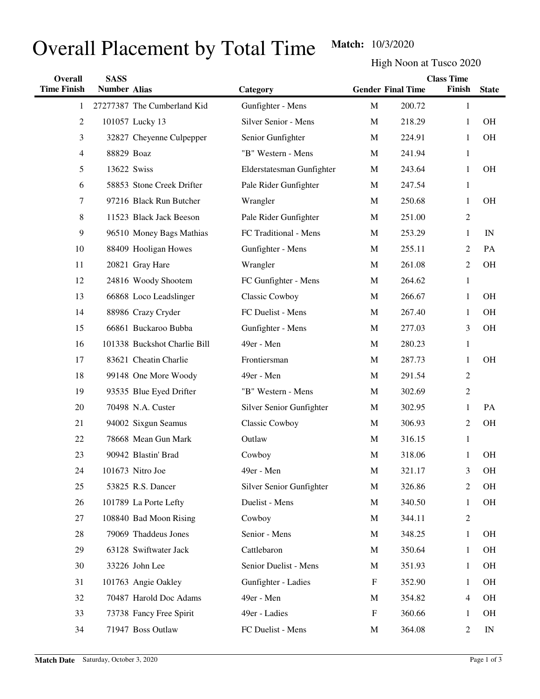## Overall Placement by Total Time Match: 10/3/2020

High Noon at Tusco 2020

| Overall            | <b>SASS</b>         |                              |                           |                           |                          | <b>Class Time</b> |              |
|--------------------|---------------------|------------------------------|---------------------------|---------------------------|--------------------------|-------------------|--------------|
| <b>Time Finish</b> | <b>Number Alias</b> |                              | Category                  |                           | <b>Gender Final Time</b> | Finish            | <b>State</b> |
| 1                  |                     | 27277387 The Cumberland Kid  | Gunfighter - Mens         | $\mathbf M$               | 200.72                   | $\mathbf{1}$      |              |
| $\overline{c}$     |                     | 101057 Lucky 13              | Silver Senior - Mens      | M                         | 218.29                   | $\mathbf{1}$      | <b>OH</b>    |
| 3                  |                     | 32827 Cheyenne Culpepper     | Senior Gunfighter         | M                         | 224.91                   | 1                 | <b>OH</b>    |
| $\overline{4}$     | 88829 Boaz          |                              | "B" Western - Mens        | M                         | 241.94                   | $\mathbf{1}$      |              |
| 5                  |                     | 13622 Swiss                  | Elderstatesman Gunfighter | M                         | 243.64                   | 1                 | <b>OH</b>    |
| 6                  |                     | 58853 Stone Creek Drifter    | Pale Rider Gunfighter     | M                         | 247.54                   | $\mathbf{1}$      |              |
| 7                  |                     | 97216 Black Run Butcher      | Wrangler                  | M                         | 250.68                   | 1                 | <b>OH</b>    |
| 8                  |                     | 11523 Black Jack Beeson      | Pale Rider Gunfighter     | M                         | 251.00                   | $\mathfrak{2}$    |              |
| 9                  |                     | 96510 Money Bags Mathias     | FC Traditional - Mens     | M                         | 253.29                   | $\mathbf{1}$      | IN           |
| 10                 |                     | 88409 Hooligan Howes         | Gunfighter - Mens         | M                         | 255.11                   | $\overline{2}$    | PA           |
| 11                 |                     | 20821 Gray Hare              | Wrangler                  | M                         | 261.08                   | $\mathfrak{2}$    | <b>OH</b>    |
| 12                 |                     | 24816 Woody Shootem          | FC Gunfighter - Mens      | M                         | 264.62                   | $\mathbf{1}$      |              |
| 13                 |                     | 66868 Loco Leadslinger       | Classic Cowboy            | M                         | 266.67                   | $\mathbf{1}$      | <b>OH</b>    |
| 14                 |                     | 88986 Crazy Cryder           | FC Duelist - Mens         | M                         | 267.40                   | $\mathbf{1}$      | <b>OH</b>    |
| 15                 |                     | 66861 Buckaroo Bubba         | Gunfighter - Mens         | M                         | 277.03                   | 3                 | <b>OH</b>    |
| 16                 |                     | 101338 Buckshot Charlie Bill | 49er - Men                | M                         | 280.23                   | $\mathbf{1}$      |              |
| 17                 |                     | 83621 Cheatin Charlie        | Frontiersman              | M                         | 287.73                   | 1                 | <b>OH</b>    |
| 18                 |                     | 99148 One More Woody         | 49er - Men                | M                         | 291.54                   | $\mathfrak{2}$    |              |
| 19                 |                     | 93535 Blue Eyed Drifter      | "B" Western - Mens        | M                         | 302.69                   | $\mathfrak{2}$    |              |
| 20                 |                     | 70498 N.A. Custer            | Silver Senior Gunfighter  | M                         | 302.95                   | 1                 | PA           |
| 21                 |                     | 94002 Sixgun Seamus          | Classic Cowboy            | M                         | 306.93                   | $\mathfrak{2}$    | <b>OH</b>    |
| 22                 |                     | 78668 Mean Gun Mark          | Outlaw                    | M                         | 316.15                   | $\mathbf{1}$      |              |
| 23                 |                     | 90942 Blastin' Brad          | Cowboy                    | $\mathbf M$               | 318.06                   | 1                 | <b>OH</b>    |
| 24                 |                     | 101673 Nitro Joe             | 49er - Men                | $\mathbf M$               | 321.17                   | 3                 | <b>OH</b>    |
| 25                 |                     | 53825 R.S. Dancer            | Silver Senior Gunfighter  | $\mathbf M$               | 326.86                   | $\overline{c}$    | OH           |
| 26                 |                     | 101789 La Porte Lefty        | Duelist - Mens            | M                         | 340.50                   | 1                 | OH           |
| 27                 |                     | 108840 Bad Moon Rising       | Cowboy                    | M                         | 344.11                   | $\overline{2}$    |              |
| 28                 |                     | 79069 Thaddeus Jones         | Senior - Mens             | M                         | 348.25                   | $\mathbf{1}$      | OH           |
| 29                 |                     | 63128 Swiftwater Jack        | Cattlebaron               | M                         | 350.64                   | $\mathbf{1}$      | <b>OH</b>    |
| 30                 |                     | 33226 John Lee               | Senior Duelist - Mens     | M                         | 351.93                   | $\mathbf{1}$      | OH           |
| 31                 |                     | 101763 Angie Oakley          | Gunfighter - Ladies       | F                         | 352.90                   | 1                 | OH           |
| 32                 |                     | 70487 Harold Doc Adams       | 49er - Men                | M                         | 354.82                   | $\overline{4}$    | OH           |
| 33                 |                     | 73738 Fancy Free Spirit      | 49er - Ladies             | $\boldsymbol{\mathrm{F}}$ | 360.66                   | 1                 | OH           |
| 34                 |                     | 71947 Boss Outlaw            | FC Duelist - Mens         | M                         | 364.08                   | 2                 | IN           |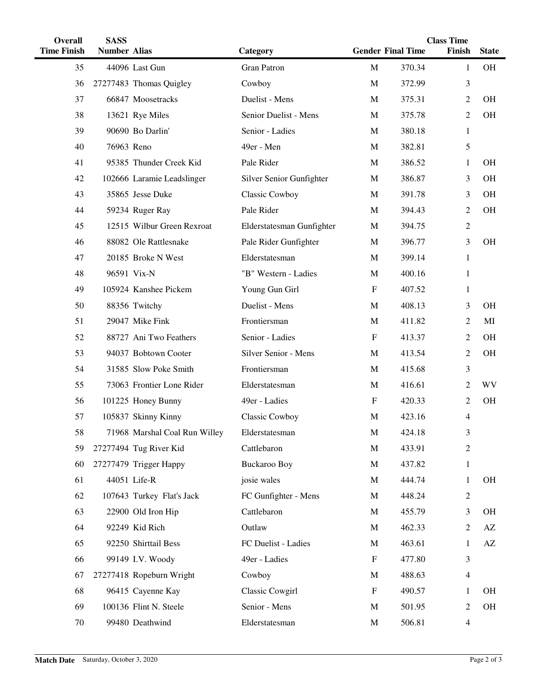| Overall            | <b>SASS</b>         |                               |                           | <b>Class Time</b>         |                          |                |              |
|--------------------|---------------------|-------------------------------|---------------------------|---------------------------|--------------------------|----------------|--------------|
| <b>Time Finish</b> | <b>Number Alias</b> |                               | Category                  |                           | <b>Gender Final Time</b> | Finish         | <b>State</b> |
| 35                 |                     | 44096 Last Gun                | <b>Gran Patron</b>        | $\mathbf M$               | 370.34                   | $\mathbf{1}$   | OH           |
| 36                 |                     | 27277483 Thomas Quigley       | Cowboy                    | $\mathbf M$               | 372.99                   | 3              |              |
| 37                 |                     | 66847 Moosetracks             | Duelist - Mens            | $\mathbf M$               | 375.31                   | 2              | <b>OH</b>    |
| 38                 |                     | 13621 Rye Miles               | Senior Duelist - Mens     | $\mathbf M$               | 375.78                   | 2              | <b>OH</b>    |
| 39                 |                     | 90690 Bo Darlin'              | Senior - Ladies           | M                         | 380.18                   | $\mathbf{1}$   |              |
| 40                 | 76963 Reno          |                               | 49er - Men                | M                         | 382.81                   | 5              |              |
| 41                 |                     | 95385 Thunder Creek Kid       | Pale Rider                | M                         | 386.52                   | 1              | <b>OH</b>    |
| 42                 |                     | 102666 Laramie Leadslinger    | Silver Senior Gunfighter  | M                         | 386.87                   | 3              | <b>OH</b>    |
| 43                 |                     | 35865 Jesse Duke              | Classic Cowboy            | M                         | 391.78                   | 3              | <b>OH</b>    |
| 44                 |                     | 59234 Ruger Ray               | Pale Rider                | M                         | 394.43                   | 2              | <b>OH</b>    |
| 45                 |                     | 12515 Wilbur Green Rexroat    | Elderstatesman Gunfighter | M                         | 394.75                   | $\overline{c}$ |              |
| 46                 |                     | 88082 Ole Rattlesnake         | Pale Rider Gunfighter     | M                         | 396.77                   | 3              | OH           |
| 47                 |                     | 20185 Broke N West            | Elderstatesman            | M                         | 399.14                   | $\mathbf{1}$   |              |
| 48                 |                     | 96591 Vix-N                   | "B" Western - Ladies      | M                         | 400.16                   | $\mathbf{1}$   |              |
| 49                 |                     | 105924 Kanshee Pickem         | Young Gun Girl            | $\mathbf F$               | 407.52                   | $\mathbf{1}$   |              |
| 50                 |                     | 88356 Twitchy                 | Duelist - Mens            | M                         | 408.13                   | 3              | <b>OH</b>    |
| 51                 |                     | 29047 Mike Fink               | Frontiersman              | M                         | 411.82                   | 2              | MI           |
| 52                 |                     | 88727 Ani Two Feathers        | Senior - Ladies           | $\mathbf F$               | 413.37                   | 2              | <b>OH</b>    |
| 53                 |                     | 94037 Bobtown Cooter          | Silver Senior - Mens      | M                         | 413.54                   | 2              | <b>OH</b>    |
| 54                 |                     | 31585 Slow Poke Smith         | Frontiersman              | M                         | 415.68                   | 3              |              |
| 55                 |                     | 73063 Frontier Lone Rider     | Elderstatesman            | M                         | 416.61                   | 2              | <b>WV</b>    |
| 56                 |                     | 101225 Honey Bunny            | 49er - Ladies             | $\mathbf F$               | 420.33                   | 2              | <b>OH</b>    |
| 57                 |                     | 105837 Skinny Kinny           | Classic Cowboy            | M                         | 423.16                   | 4              |              |
| 58                 |                     | 71968 Marshal Coal Run Willey | Elderstatesman            | M                         | 424.18                   | 3              |              |
| 59                 |                     | 27277494 Tug River Kid        | Cattlebaron               | $\mathbf M$               | 433.91                   | 2              |              |
| 60                 |                     | 27277479 Trigger Happy        | <b>Buckaroo Boy</b>       | M                         | 437.82                   | $\mathbf{1}$   |              |
| 61                 |                     | 44051 Life-R                  | josie wales               | M                         | 444.74                   | $\mathbf{1}$   | OH           |
| 62                 |                     | 107643 Turkey Flat's Jack     | FC Gunfighter - Mens      | M                         | 448.24                   | $\overline{2}$ |              |
| 63                 |                     | 22900 Old Iron Hip            | Cattlebaron               | M                         | 455.79                   | 3              | OH           |
| 64                 |                     | 92249 Kid Rich                | Outlaw                    | M                         | 462.33                   | 2              | AZ           |
| 65                 |                     | 92250 Shirttail Bess          | FC Duelist - Ladies       | M                         | 463.61                   | 1              | AZ           |
| 66                 |                     | 99149 I.V. Woody              | 49er - Ladies             | $\boldsymbol{\mathrm{F}}$ | 477.80                   | 3              |              |
| 67                 |                     | 27277418 Ropeburn Wright      | Cowboy                    | M                         | 488.63                   | 4              |              |
| 68                 |                     | 96415 Cayenne Kay             | Classic Cowgirl           | $\boldsymbol{\mathrm{F}}$ | 490.57                   | 1              | <b>OH</b>    |
| 69                 |                     | 100136 Flint N. Steele        | Senior - Mens             | M                         | 501.95                   | 2              | OH           |
| 70                 |                     | 99480 Deathwind               | Elderstatesman            | M                         | 506.81                   | 4              |              |
|                    |                     |                               |                           |                           |                          |                |              |